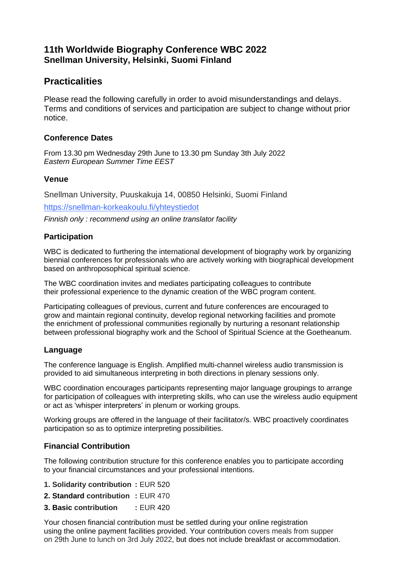# **11th Worldwide Biography Conference WBC 2022 Snellman University, Helsinki, Suomi Finland**

# **Practicalities**

Please read the following carefully in order to avoid misunderstandings and delays. Terms and conditions of services and participation are subject to change without prior notice.

### **Conference Dates**

From 13.30 pm Wednesday 29th June to 13.30 pm Sunday 3th July 2022 *Eastern European Summer Time EEST*

### **Venue**

Snellman University, Puuskakuja 14, 00850 Helsinki, Suomi Finland

[https://snellman-korkeakoulu.fi/yhteystiedot](https://snellman-korkeakoulu.fi/yhteystiedot/)

*Finnish only : recommend using an online translator facility*

### **Participation**

WBC is dedicated to furthering the international development of biography work by organizing biennial conferences for professionals who are actively working with biographical development based on anthroposophical spiritual science.

The WBC coordination invites and mediates participating colleagues to contribute their professional experience to the dynamic creation of the WBC program content.

Participating colleagues of previous, current and future conferences are encouraged to grow and maintain regional continuity, develop regional networking facilities and promote the enrichment of professional communities regionally by nurturing a resonant relationship between professional biography work and the School of Spiritual Science at the Goetheanum.

# **Language**

The conference language is English. Amplified multi-channel wireless audio transmission is provided to aid simultaneous interpreting in both directions in plenary sessions only.

WBC coordination encourages participants representing major language groupings to arrange for participation of colleagues with interpreting skills, who can use the wireless audio equipment or act as 'whisper interpreters' in plenum or working groups.

Working groups are offered in the language of their facilitator/s. WBC proactively coordinates participation so as to optimize interpreting possibilities.

# **Financial Contribution**

The following contribution structure for this conference enables you to participate according to your financial circumstances and your professional intentions.

- **1. Solidarity contribution :** EUR 520
- **2. Standard contribution :** EUR 470
- **3. Basic contribution :** EUR 420

Your chosen financial contribution must be settled during your online registration using the online payment facilities provided. Your contribution covers meals from supper on 29th June to lunch on 3rd July 2022, but does not include breakfast or accommodation.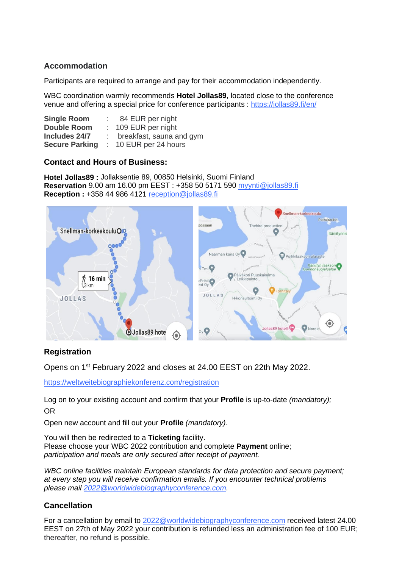### **Accommodation**

Participants are required to arrange and pay for their accommodation independently.

WBC coordination warmly recommends **Hotel Jollas89**, located close to the conference venue and offering a special price for conference participants :<https://jollas89.fi/en/>

| <b>Single Room</b>    | 84 EUR per night         |
|-----------------------|--------------------------|
| <b>Double Room</b>    | : 109 EUR per night      |
| Includes 24/7         | breakfast, sauna and gym |
| <b>Secure Parking</b> | $: 10$ EUR per 24 hours  |

### **Contact and Hours of Business:**

**Hotel Jollas89 :** Jollaksentie 89, 00850 Helsinki, Suomi Finland **Reservation** 9.00 am 16.00 pm EEST : +358 50 5171 590 [myynti@jollas89.fi](mailto:myynti@jollas89.fi) **Reception :** +358 44 986 4121 [reception@jollas89.fi](mailto:reception@jollas89.fi)



# **Registration**

Opens on 1st February 2022 and closes at 24.00 EEST on 22th May 2022.

<https://weltweitebiographiekonferenz.com/registration>

Log on to your existing account and confirm that your **Profile** is up-to-date *(mandatory);* OR

Open new account and fill out your **Profile** *(mandatory)*.

You will then be redirected to a **Ticketing** facility. Please choose your WBC 2022 contribution and complete **Payment** online;

*participation and meals are only secured after receipt of payment.*

*WBC online facilities maintain European standards for data protection and secure payment; at every step you will receive confirmation emails. If you encounter technical problems please mail [2022@worldwidebiographyconference.com.](mailto:2022@worldwidebiographyconference.com)*

# **Cancellation**

For a cancellation by email to [2022@worldwidebiographyconference.com](mailto:2022@worldwidebiographyconference.com) received latest 24.00 EEST on 27th of May 2022 your contribution is refunded less an administration fee of 100 EUR; thereafter, no refund is possible.